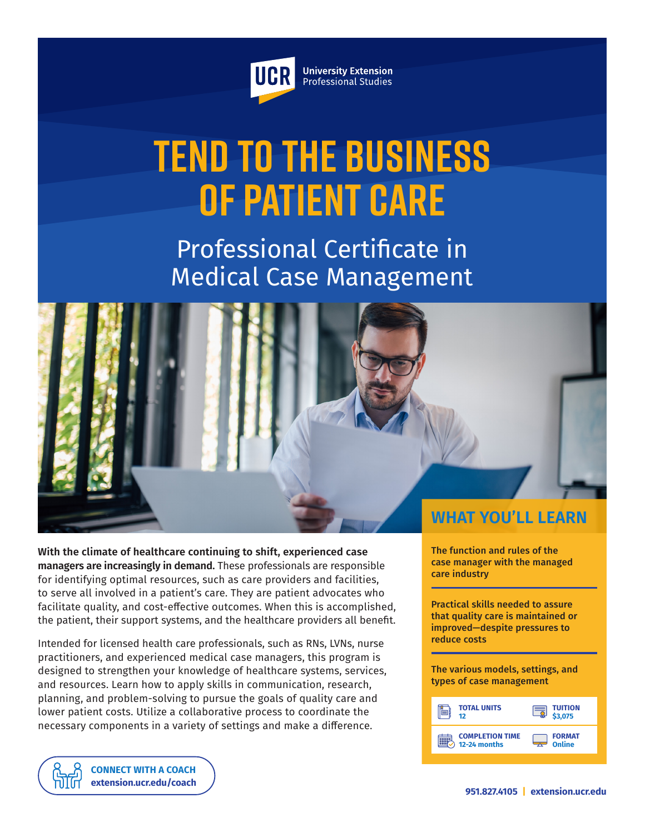

**University Extension** Professional Studies

# **Tend to the Business of Patient Care**

Professional Certificate in Medical Case Management



**With the climate of healthcare continuing to shift, experienced case managers are increasingly in demand.** These professionals are responsible for identifying optimal resources, such as care providers and facilities, to serve all involved in a patient's care. They are patient advocates who facilitate quality, and cost-effective outcomes. When this is accomplished, the patient, their support systems, and the healthcare providers all benefit.

Intended for licensed health care professionals, such as RNs, LVNs, nurse practitioners, and experienced medical case managers, this program is designed to strengthen your knowledge of healthcare systems, services, and resources. Learn how to apply skills in communication, research, planning, and problem-solving to pursue the goals of quality care and lower patient costs. Utilize a collaborative process to coordinate the necessary components in a variety of settings and make a difference.

The function and rules of the case manager with the managed care industry

Practical skills needed to assure that quality care is maintained or improved—despite pressures to reduce costs

The various models, settings, and types of case management

| <b>TOTAL UNITS</b>     | <b>TUITION</b> |
|------------------------|----------------|
| 12                     | \$3.075        |
| <b>COMPLETION TIME</b> | <b>FORMAT</b>  |
| 12-24 months           | Online         |

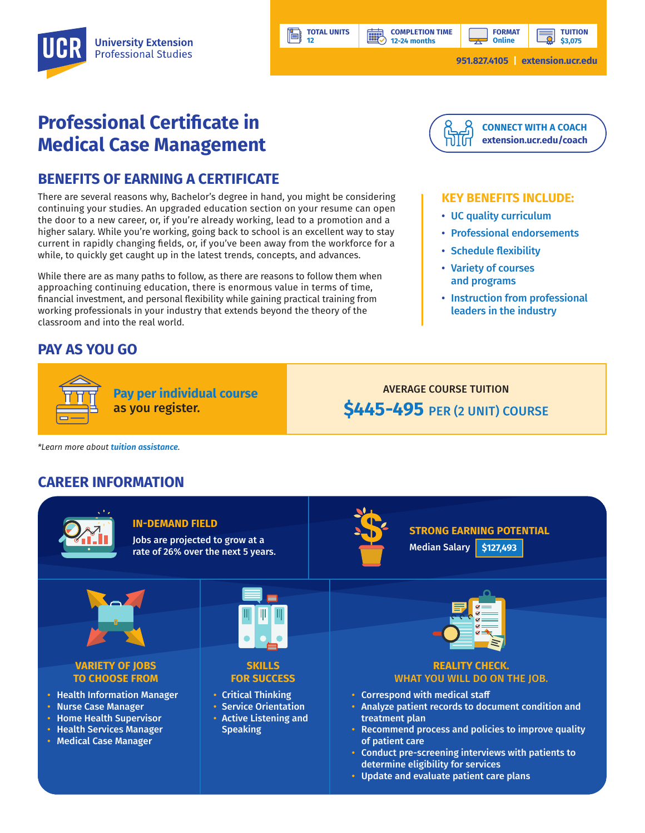

# **Professional Certificate in Medical Case Management**

#### **BENEFITS OF EARNING A CERTIFICATE**

There are several reasons why, Bachelor's degree in hand, you might be considering continuing your studies. An upgraded education section on your resume can open the door to a new career, or, if you're already working, lead to a promotion and a higher salary. While you're working, going back to school is an excellent way to stay current in rapidly changing fields, or, if you've been away from the workforce for a while, to quickly get caught up in the latest trends, concepts, and advances.

While there are as many paths to follow, as there are reasons to follow them when approaching continuing education, there is enormous value in terms of time, financial investment, and personal flexibility while gaining practical training from working professionals in your industry that extends beyond the theory of the classroom and into the real world.

**Pay per individual course**

as you register.

#### **PAY AS YOU GO**



## **[extension.ucr.edu/coach](http://extension.ucr.edu/coach)**

#### **KEY BENEFITS INCLUDE:**

- UC quality curriculum
- Professional endorsements
- Schedule flexibility
- Variety of courses and programs
- Instruction from professional leaders in the industry

### AVERAGE COURSE TUITION **\$445-495** PER (2 UNIT) COURSE

*\*Learn more about [tuition assistance](https://extension.ucr.edu/helpcenterstudentresources/financialandtuitionassistance).*

#### **CAREER INFORMATION**



**TOTAL UNITS 12** 

**HILL** 

Ħ

• Update and evaluate patient care plans